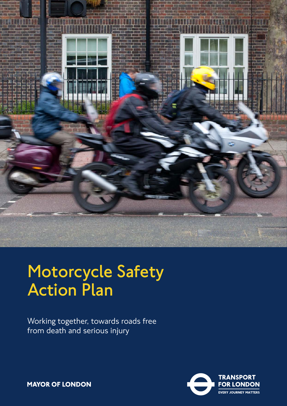

# **Motorcycle Safety Action Plan**

Working together, towards roads free from death and serious injury



**MAYOR OF LONDON**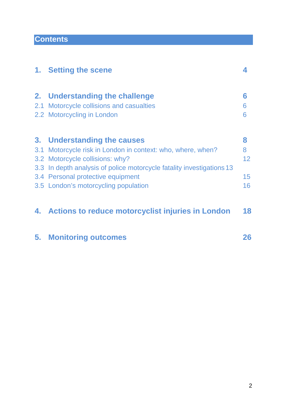# **Contents**

|    | 1. Setting the scene                                                  | 4               |
|----|-----------------------------------------------------------------------|-----------------|
| 2. | Understanding the challenge                                           | 6               |
|    | 2.1 Motorcycle collisions and casualties                              | 6               |
|    | 2.2 Motorcycling in London                                            | 6               |
|    | 3. Understanding the causes                                           | 8               |
|    | 3.1 Motorcycle risk in London in context: who, where, when?           | 8               |
|    | 3.2 Motorcycle collisions: why?                                       | 12 <sup>2</sup> |
|    | 3.3 In depth analysis of police motorcycle fatality investigations 13 |                 |
|    | 3.4 Personal protective equipment                                     | 15              |
|    | 3.5 London's motorcycling population                                  | 16              |
|    | 4. Actions to reduce motorcyclist injuries in London                  | 18              |
| 5. | <b>Monitoring outcomes</b>                                            | 26              |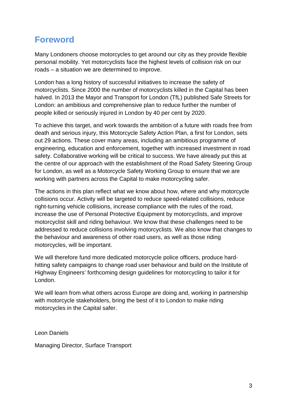# **Foreword**

Many Londoners choose motorcycles to get around our city as they provide flexible personal mobility. Yet motorcyclists face the highest levels of collision risk on our roads – a situation we are determined to improve.

London has a long history of successful initiatives to increase the safety of motorcyclists. Since 2000 the number of motorcyclists killed in the Capital has been halved. In 2013 the Mayor and Transport for London (TfL) published Safe Streets for London: an ambitious and comprehensive plan to reduce further the number of people killed or seriously injured in London by 40 per cent by 2020.

To achieve this target, and work towards the ambition of a future with roads free from death and serious injury, this Motorcycle Safety Action Plan, a first for London, sets out 29 actions. These cover many areas, including an ambitious programme of engineering, education and enforcement, together with increased investment in road safety. Collaborative working will be critical to success. We have already put this at the centre of our approach with the establishment of the Road Safety Steering Group for London, as well as a Motorcycle Safety Working Group to ensure that we are working with partners across the Capital to make motorcycling safer.

The actions in this plan reflect what we know about how, where and why motorcycle collisions occur. Activity will be targeted to reduce speed-related collisions, reduce right-turning vehicle collisions, increase compliance with the rules of the road, increase the use of Personal Protective Equipment by motorcyclists, and improve motorcyclist skill and riding behaviour. We know that these challenges need to be addressed to reduce collisions involving motorcyclists. We also know that changes to the behaviour and awareness of other road users, as well as those riding motorcycles, will be important.

We will therefore fund more dedicated motorcycle police officers, produce hardhitting safety campaigns to change road user behaviour and build on the Institute of Highway Engineers' forthcoming design guidelines for motorcycling to tailor it for London.

We will learn from what others across Europe are doing and, working in partnership with motorcycle stakeholders, bring the best of it to London to make riding motorcycles in the Capital safer.

Leon Daniels

Managing Director, Surface Transport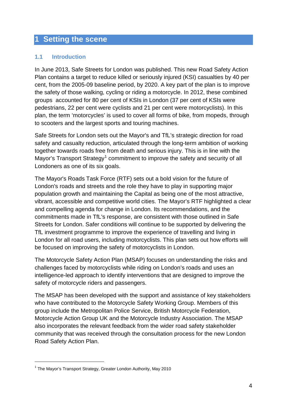### **1 Setting the scene**

#### **1.1 Introduction**

In June 2013, Safe Streets for London was published. This new Road Safety Action Plan contains a target to reduce killed or seriously injured (KSI) casualties by 40 per cent, from the 2005-09 baseline period, by 2020. A key part of the plan is to improve the safety of those walking, cycling or riding a motorcycle. In 2012, these combined groups accounted for 80 per cent of KSIs in London (37 per cent of KSIs were pedestrians, 22 per cent were cyclists and 21 per cent were motorcyclists). In this plan, the term 'motorcycles' is used to cover all forms of bike, from mopeds, through to scooters and the largest sports and touring machines.

Safe Streets for London sets out the Mayor's and TfL's strategic direction for road safety and casualty reduction, articulated through the long-term ambition of working together towards roads free from death and serious injury. This is in line with the Mayor's Transport Strategy<sup>[1](#page-3-0)</sup> commitment to improve the safety and security of all Londoners as one of its six goals.

The Mayor's Roads Task Force (RTF) sets out a bold vision for the future of London's roads and streets and the role they have to play in supporting major population growth and maintaining the Capital as being one of the most attractive, vibrant, accessible and competitive world cities. The Mayor's RTF highlighted a clear and compelling agenda for change in London. Its recommendations, and the commitments made in TfL's response, are consistent with those outlined in Safe Streets for London. Safer conditions will continue to be supported by delivering the TfL investment programme to improve the experience of travelling and living in London for all road users, including motorcyclists. This plan sets out how efforts will be focused on improving the safety of motorcyclists in London.

The Motorcycle Safety Action Plan (MSAP) focuses on understanding the risks and challenges faced by motorcyclists while riding on London's roads and uses an intelligence-led approach to identify interventions that are designed to improve the safety of motorcycle riders and passengers.

The MSAP has been developed with the support and assistance of key stakeholders who have contributed to the Motorcycle Safety Working Group. Members of this group include the Metropolitan Police Service, British Motorcycle Federation, Motorcycle Action Group UK and the Motorcycle Industry Association. The MSAP also incorporates the relevant feedback from the wider road safety stakeholder community that was received through the consultation process for the new London Road Safety Action Plan.

<u>.</u>

<span id="page-3-0"></span><sup>&</sup>lt;sup>1</sup> The Mayor's Transport Strategy, Greater London Authority, May 2010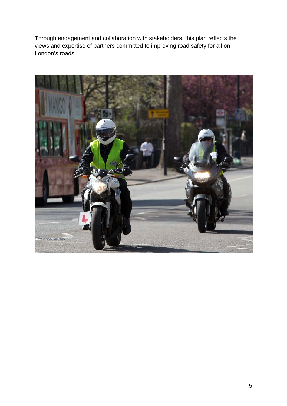Through engagement and collaboration with stakeholders, this plan reflects the views and expertise of partners committed to improving road safety for all on London's roads.

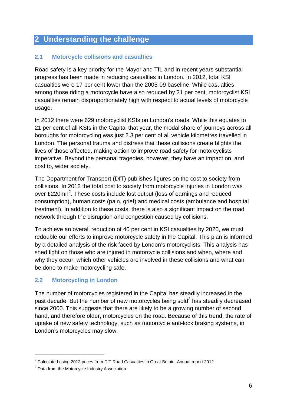## **2 Understanding the challenge**

#### **2.1 Motorcycle collisions and casualties**

Road safety is a key priority for the Mayor and TfL and in recent years substantial progress has been made in reducing casualties in London. In 2012, total KSI casualties were 17 per cent lower than the 2005-09 baseline. While casualties among those riding a motorcycle have also reduced by 21 per cent, motorcyclist KSI casualties remain disproportionately high with respect to actual levels of motorcycle usage.

In 2012 there were 629 motorcyclist KSIs on London's roads. While this equates to 21 per cent of all KSIs in the Capital that year, the modal share of journeys across all boroughs for motorcycling was just 2.3 per cent of all vehicle kilometres travelled in London. The personal trauma and distress that these collisions create blights the lives of those affected, making action to improve road safety for motorcyclists imperative. Beyond the personal tragedies, however, they have an impact on, and cost to, wider society.

The Department for Transport (DfT) publishes figures on the cost to society from collisions. In 2012 the total cost to society from motorcycle injuries in London was over £[2](#page-5-0)20mn<sup>2</sup>. These costs include lost output (loss of earnings and reduced consumption), human costs (pain, grief) and medical costs (ambulance and hospital treatment). In addition to these costs, there is also a significant impact on the road network through the disruption and congestion caused by collisions.

To achieve an overall reduction of 40 per cent in KSI casualties by 2020, we must redouble our efforts to improve motorcycle safety in the Capital. This plan is informed by a detailed analysis of the risk faced by London's motorcyclists. This analysis has shed light on those who are injured in motorcycle collisions and when, where and why they occur, which other vehicles are involved in these collisions and what can be done to make motorcycling safe.

#### **2.2 Motorcycling in London**

The number of motorcycles registered in the Capital has steadily increased in the past decade. But the number of new motorcycles being sold $3$  has steadily decreased since 2000. This suggests that there are likely to be a growing number of second hand, and therefore older, motorcycles on the road. Because of this trend, the rate of uptake of new safety technology, such as motorcycle anti-lock braking systems, in London's motorcycles may slow.

<u>.</u>

<span id="page-5-0"></span><sup>2</sup> Calculated using 2012 prices from DfT Road Casualties in Great Britain: Annual report 2012

<span id="page-5-1"></span><sup>&</sup>lt;sup>3</sup> Data from the Motorcycle Industry Association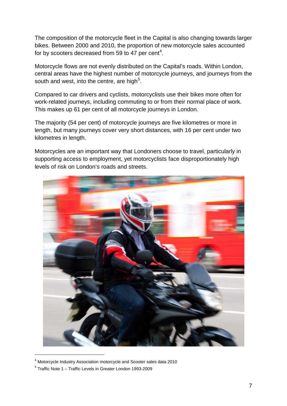The composition of the motorcycle fleet in the Capital is also changing towards larger bikes. Between 2000 and 2010, the proportion of new motorcycle sales accounted for by scooters decreased from 59 to [4](#page-6-0)7 per cent<sup>4</sup>.

Motorcycle flows are not evenly distributed on the Capital's roads. Within London, central areas have the highest number of motorcycle journeys, and journeys from the south and west, into the centre, are high<sup>[5](#page-6-1)</sup>.

Compared to car drivers and cyclists, motorcyclists use their bikes more often for work-related journeys, including commuting to or from their normal place of work. This makes up 61 per cent of all motorcycle journeys in London.

The majority (54 per cent) of motorcycle journeys are five kilometres or more in length, but many journeys cover very short distances, with 16 per cent under two kilometres in length.

Motorcycles are an important way that Londoners choose to travel, particularly in supporting access to employment, yet motorcyclists face disproportionately high levels of risk on London's roads and streets.



<sup>4</sup> Motorcycle Industry Association motorcycle and Scooter sales data 2010

<span id="page-6-1"></span><span id="page-6-0"></span><sup>5</sup> Traffic Note 1 – Traffic Levels in Greater London 1993-2009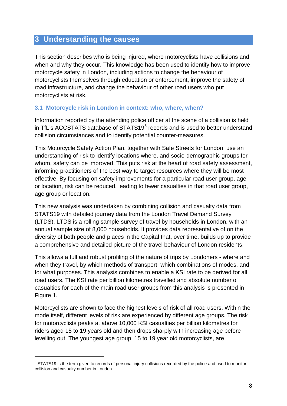### **3 Understanding the causes**

This section describes who is being injured, where motorcyclists have collisions and when and why they occur. This knowledge has been used to identify how to improve motorcycle safety in London, including actions to change the behaviour of motorcyclists themselves through education or enforcement, improve the safety of road infrastructure, and change the behaviour of other road users who put motorcyclists at risk.

#### **3.1 Motorcycle risk in London in context: who, where, when?**

Information reported by the attending police officer at the scene of a collision is held in TfL's ACCSTATS database of STATS19<sup>[6](#page-7-0)</sup> records and is used to better understand collision circumstances and to identify potential counter-measures.

This Motorcycle Safety Action Plan, together with Safe Streets for London, use an understanding of risk to identify locations where, and socio-demographic groups for whom, safety can be improved. This puts risk at the heart of road safety assessment, informing practitioners of the best way to target resources where they will be most effective. By focusing on safety improvements for a particular road user group, age or location, risk can be reduced, leading to fewer casualties in that road user group, age group or location.

This new analysis was undertaken by combining collision and casualty data from STATS19 with detailed journey data from the London Travel Demand Survey (LTDS). LTDS is a rolling sample survey of travel by households in London, with an annual sample size of 8,000 households. It provides data representative of on the diversity of both people and places in the Capital that, over time, builds up to provide a comprehensive and detailed picture of the travel behaviour of London residents.

This allows a full and robust profiling of the nature of trips by Londoners - where and when they travel, by which methods of transport, which combinations of modes, and for what purposes. This analysis combines to enable a KSI rate to be derived for all road users. The KSI rate per billion kilometres travelled and absolute number of casualties for each of the main road user groups from this analysis is presented in Figure 1.

Motorcyclists are shown to face the highest levels of risk of all road users. Within the mode itself, different levels of risk are experienced by different age groups. The risk for motorcyclists peaks at above 10,000 KSI casualties per billion kilometres for riders aged 15 to 19 years old and then drops sharply with increasing age before levelling out. The youngest age group, 15 to 19 year old motorcyclists, are

-

<span id="page-7-0"></span> $6$  STATS19 is the term given to records of personal injury collisions recorded by the police and used to monitor collision and casualty number in London.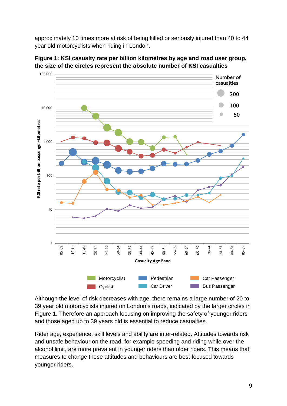approximately 10 times more at risk of being killed or seriously injured than 40 to 44 year old motorcyclists when riding in London.



**Figure 1: KSI casualty rate per billion kilometres by age and road user group, the size of the circles represent the absolute number of KSI casualties**

Although the level of risk decreases with age, there remains a large number of 20 to 39 year old motorcyclists injured on London's roads, indicated by the larger circles in Figure 1. Therefore an approach focusing on improving the safety of younger riders and those aged up to 39 years old is essential to reduce casualties.

Rider age, experience, skill levels and ability are inter-related. Attitudes towards risk and unsafe behaviour on the road, for example speeding and riding while over the alcohol limit, are more prevalent in younger riders than older riders. This means that measures to change these attitudes and behaviours are best focused towards younger riders.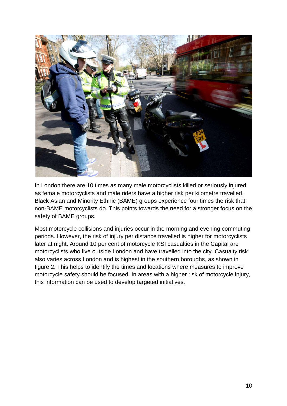

In London there are 10 times as many male motorcyclists killed or seriously injured as female motorcyclists and male riders have a higher risk per kilometre travelled. Black Asian and Minority Ethnic (BAME) groups experience four times the risk that non-BAME motorcyclists do. This points towards the need for a stronger focus on the safety of BAME groups.

Most motorcycle collisions and injuries occur in the morning and evening commuting periods. However, the risk of injury per distance travelled is higher for motorcyclists later at night. Around 10 per cent of motorcycle KSI casualties in the Capital are motorcyclists who live outside London and have travelled into the city. Casualty risk also varies across London and is highest in the southern boroughs, as shown in figure 2. This helps to identify the times and locations where measures to improve motorcycle safety should be focused. In areas with a higher risk of motorcycle injury, this information can be used to develop targeted initiatives.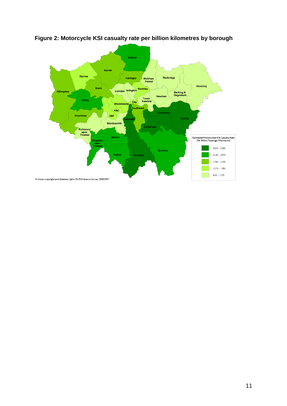

**Figure 2: Motorcycle KSI casualty rate per billion kilometres by borough**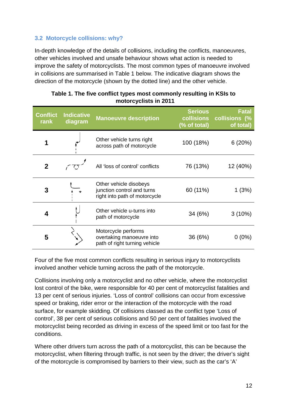#### **3.2 Motorcycle collisions: why?**

In-depth knowledge of the details of collisions, including the conflicts, manoeuvres, other vehicles involved and unsafe behaviour shows what action is needed to improve the safety of motorcyclists. The most common types of manoeuvre involved in collisions are summarised in Table 1 below. The indicative diagram shows the direction of the motorcycle (shown by the dotted line) and the other vehicle.

| <b>Conflict</b><br>rank | <b>Indicative</b><br>diagram | <b>Manoeuvre description</b>                                                          | <b>Serious</b><br><b>collisions</b><br>(% of total) | Fatal<br>collisions (%<br>of total) |
|-------------------------|------------------------------|---------------------------------------------------------------------------------------|-----------------------------------------------------|-------------------------------------|
|                         |                              | Other vehicle turns right<br>across path of motorcycle                                | 100 (18%)                                           | 6(20%)                              |
| $\mathbf 2$             |                              | All 'loss of control' conflicts                                                       | 76 (13%)                                            | 12 (40%)                            |
| 3                       | $\star$                      | Other vehicle disobeys<br>junction control and turns<br>right into path of motorcycle | 60 (11%)                                            | 1(3%)                               |
| 4                       |                              | Other vehicle u-turns into<br>path of motorcycle                                      | 34 (6%)                                             | $3(10\%)$                           |
| 5                       |                              | Motorcycle performs<br>overtaking manoeuvre into<br>path of right turning vehicle     | 36 (6%)                                             | 0 (0%)                              |

| Table 1. The five conflict types most commonly resulting in KSIs to |
|---------------------------------------------------------------------|
| motorcyclists in 2011                                               |

Four of the five most common conflicts resulting in serious injury to motorcyclists involved another vehicle turning across the path of the motorcycle.

Collisions involving only a motorcyclist and no other vehicle, where the motorcyclist lost control of the bike, were responsible for 40 per cent of motorcyclist fatalities and 13 per cent of serious injuries. 'Loss of control' collisions can occur from excessive speed or braking, rider error or the interaction of the motorcycle with the road surface, for example skidding. Of collisions classed as the conflict type 'Loss of control', 38 per cent of serious collisions and 50 per cent of fatalities involved the motorcyclist being recorded as driving in excess of the speed limit or too fast for the conditions.

Where other drivers turn across the path of a motorcyclist, this can be because the motorcyclist, when filtering through traffic, is not seen by the driver; the driver's sight of the motorcycle is compromised by barriers to their view, such as the car's 'A'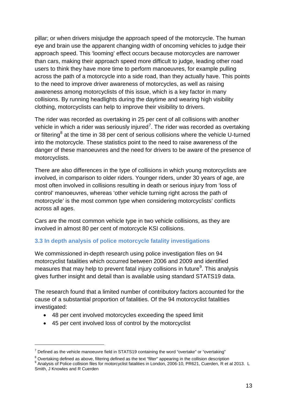pillar; or when drivers misjudge the approach speed of the motorcycle. The human eye and brain use the apparent changing width of oncoming vehicles to judge their approach speed. This 'looming' effect occurs because motorcycles are narrower than cars, making their approach speed more difficult to judge, leading other road users to think they have more time to perform manoeuvres, for example pulling across the path of a motorcycle into a side road, than they actually have. This points to the need to improve driver awareness of motorcycles, as well as raising awareness among motorcyclists of this issue, which is a key factor in many collisions. By running headlights during the daytime and wearing high visibility clothing, motorcyclists can help to improve their visibility to drivers.

The rider was recorded as overtaking in 25 per cent of all collisions with another vehicle in which a rider was seriously injured<sup>[7](#page-12-0)</sup>. The rider was recorded as overtaking or filtering<sup>[8](#page-12-1)</sup> at the time in 38 per cent of serious collisions where the vehicle U-turned into the motorcycle. These statistics point to the need to raise awareness of the danger of these manoeuvres and the need for drivers to be aware of the presence of motorcyclists.

There are also differences in the type of collisions in which young motorcyclists are involved, in comparison to older riders. Younger riders, under 30 years of age, are most often involved in collisions resulting in death or serious injury from 'loss of control' manoeuvres, whereas 'other vehicle turning right across the path of motorcycle' is the most common type when considering motorcyclists' conflicts across all ages.

Cars are the most common vehicle type in two vehicle collisions, as they are involved in almost 80 per cent of motorcycle KSI collisions.

#### **3.3 In depth analysis of police motorcycle fatality investigations**

We commissioned in-depth research using police investigation files on 94 motorcyclist fatalities which occurred between 2006 and 2009 and identified measures that may help to prevent fatal injury collisions in future<sup>[9](#page-12-2)</sup>. This analysis gives further insight and detail than is available using standard STATS19 data.

The research found that a limited number of contributory factors accounted for the cause of a substantial proportion of fatalities. Of the 94 motorcyclist fatalities investigated:

- 48 per cent involved motorcycles exceeding the speed limit
- 45 per cent involved loss of control by the motorcyclist

-

<span id="page-12-0"></span> $7$  Defined as the vehicle manoeuvre field in STATS19 containing the word "overtake" or "overtaking"

<span id="page-12-2"></span><span id="page-12-1"></span> $^8$  Overtaking defined as above, filtering defined as the text "filter" appearing in the collision description<br> $^9$  Analvsis of Police collision files for motorcyclist fatalities in London, 2006-10, PR621, Cuerden, R et Smith, J Knowles and R Cuerden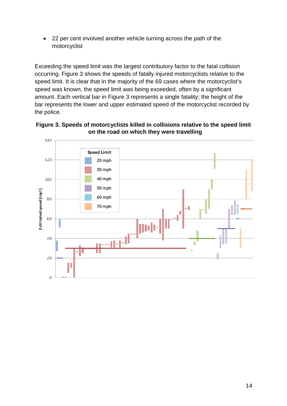• 22 per cent involved another vehicle turning across the path of the motorcyclist

Exceeding the speed limit was the largest contributory factor to the fatal collision occurring. Figure 3 shows the speeds of fatally injured motorcyclists relative to the speed limit. It is clear that in the majority of the 69 cases where the motorcyclist's speed was known, the speed limit was being exceeded, often by a significant amount. Each vertical bar in Figure 3 represents a single fatality; the height of the bar represents the lower and upper estimated speed of the motorcyclist recorded by the police.



**Figure 3. Speeds of motorcyclists killed in collisions relative to the speed limit on the road on which they were travelling**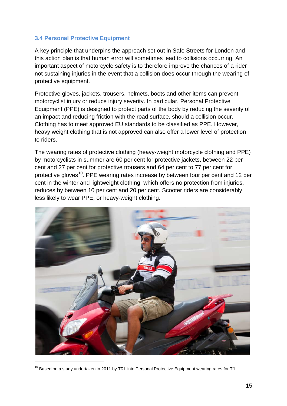#### **3.4 Personal Protective Equipment**

A key principle that underpins the approach set out in Safe Streets for London and this action plan is that human error will sometimes lead to collisions occurring. An important aspect of motorcycle safety is to therefore improve the chances of a rider not sustaining injuries in the event that a collision does occur through the wearing of protective equipment.

Protective gloves, jackets, trousers, helmets, boots and other items can prevent motorcyclist injury or reduce injury severity. In particular, Personal Protective Equipment (PPE) is designed to protect parts of the body by reducing the severity of an impact and reducing friction with the road surface, should a collision occur. Clothing has to meet approved EU standards to be classified as PPE. However, heavy weight clothing that is not approved can also offer a lower level of protection to riders.

The wearing rates of protective clothing (heavy-weight motorcycle clothing and PPE) by motorcyclists in summer are 60 per cent for protective jackets, between 22 per cent and 27 per cent for protective trousers and 64 per cent to 77 per cent for protective gloves<sup>[10](#page-14-0)</sup>. PPE wearing rates increase by between four per cent and 12 per cent in the winter and lightweight clothing, which offers no protection from injuries, reduces by between 10 per cent and 20 per cent. Scooter riders are considerably less likely to wear PPE, or heavy-weight clothing.

<span id="page-14-0"></span>

 $10$  Based on a study undertaken in 2011 by TRL into Personal Protective Equipment wearing rates for TfL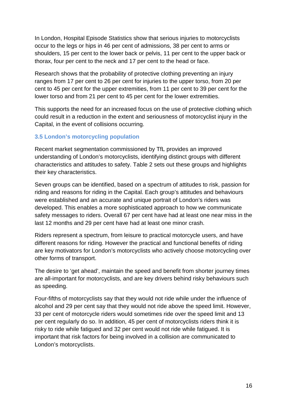In London, Hospital Episode Statistics show that serious injuries to motorcyclists occur to the legs or hips in 46 per cent of admissions, 38 per cent to arms or shoulders, 15 per cent to the lower back or pelvis, 11 per cent to the upper back or thorax, four per cent to the neck and 17 per cent to the head or face.

Research shows that the probability of protective clothing preventing an injury ranges from 17 per cent to 26 per cent for injuries to the upper torso, from 20 per cent to 45 per cent for the upper extremities, from 11 per cent to 39 per cent for the lower torso and from 21 per cent to 45 per cent for the lower extremities.

This supports the need for an increased focus on the use of protective clothing which could result in a reduction in the extent and seriousness of motorcyclist injury in the Capital, in the event of collisions occurring.

#### **3.5 London's motorcycling population**

Recent market segmentation commissioned by TfL provides an improved understanding of London's motorcyclists, identifying distinct groups with different characteristics and attitudes to safety. Table 2 sets out these groups and highlights their key characteristics.

Seven groups can be identified, based on a spectrum of attitudes to risk, passion for riding and reasons for riding in the Capital. Each group's attitudes and behaviours were established and an accurate and unique portrait of London's riders was developed. This enables a more sophisticated approach to how we communicate safety messages to riders. Overall 67 per cent have had at least one near miss in the last 12 months and 29 per cent have had at least one minor crash.

Riders represent a spectrum, from leisure to practical motorcycle users, and have different reasons for riding. However the practical and functional benefits of riding are key motivators for London's motorcyclists who actively choose motorcycling over other forms of transport.

The desire to 'get ahead', maintain the speed and benefit from shorter journey times are all-important for motorcyclists, and are key drivers behind risky behaviours such as speeding.

Four-fifths of motorcyclists say that they would not ride while under the influence of alcohol and 29 per cent say that they would not ride above the speed limit. However, 33 per cent of motorcycle riders would sometimes ride over the speed limit and 13 per cent regularly do so. In addition, 45 per cent of motorcyclists riders think it is risky to ride while fatigued and 32 per cent would not ride while fatigued. It is important that risk factors for being involved in a collision are communicated to London's motorcyclists.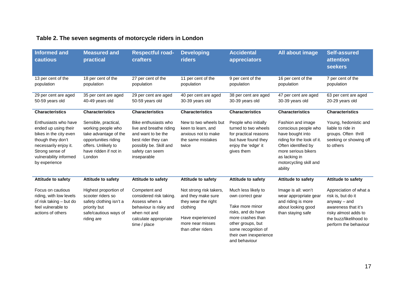### **Table 2. The seven segments of motorcycle riders in London**

| <b>Informed and</b><br>cautious                                                                                                                                                    | <b>Measured and</b><br>practical                                                                                                                      | <b>Respectful road-</b><br><b>crafters</b>                                                                                                               | <b>Developing</b><br>riders                                                                                                                   | <b>Accidental</b><br>appreciators                                                                                                                                                            | All about image                                                                                                                                                                                 | <b>Self-assured</b><br>attention<br><b>seekers</b>                                                                                                               |
|------------------------------------------------------------------------------------------------------------------------------------------------------------------------------------|-------------------------------------------------------------------------------------------------------------------------------------------------------|----------------------------------------------------------------------------------------------------------------------------------------------------------|-----------------------------------------------------------------------------------------------------------------------------------------------|----------------------------------------------------------------------------------------------------------------------------------------------------------------------------------------------|-------------------------------------------------------------------------------------------------------------------------------------------------------------------------------------------------|------------------------------------------------------------------------------------------------------------------------------------------------------------------|
| 13 per cent of the<br>population                                                                                                                                                   | 18 per cent of the<br>population                                                                                                                      | 27 per cent of the<br>population                                                                                                                         | 11 per cent of the<br>population                                                                                                              | 9 per cent of the<br>population                                                                                                                                                              | 16 per cent of the<br>population                                                                                                                                                                | 7 per cent of the<br>population                                                                                                                                  |
| 29 per cent are aged<br>50-59 years old                                                                                                                                            | 35 per cent are aged<br>40-49 years old                                                                                                               | 29 per cent are aged<br>50-59 years old                                                                                                                  | 40 per cent are aged<br>30-39 years old                                                                                                       | 38 per cent are aged<br>30-39 years old                                                                                                                                                      | 47 per cent are aged<br>30-39 years old                                                                                                                                                         | 63 per cent are aged<br>20-29 years old                                                                                                                          |
| <b>Characteristics</b>                                                                                                                                                             | <b>Characteristics</b>                                                                                                                                | <b>Characteristics</b>                                                                                                                                   | <b>Characteristics</b>                                                                                                                        | <b>Characteristics</b>                                                                                                                                                                       | <b>Characteristics</b>                                                                                                                                                                          | <b>Characteristics</b>                                                                                                                                           |
| Enthusiasts who have<br>ended up using their<br>bikes in the city even<br>though they don't<br>necessarily enjoy it.<br>Strong sense of<br>vulnerability informed<br>by experience | Sensible, practical,<br>working people who<br>take advantage of the<br>opportunities riding<br>offers. Unlikely to<br>have ridden if not in<br>London | Bike enthusiasts who<br>live and breathe riding<br>and want to be the<br>best rider they can<br>possibly be. Skill and<br>safety can seem<br>inseparable | New to two wheels but<br>keen to learn, and<br>anxious not to make<br>the same mistakes<br>twice                                              | People who initially<br>turned to two wheels<br>for practical reasons<br>but have found they<br>enjoy the 'edge' it<br>gives them                                                            | Fashion and image<br>conscious people who<br>have bought into<br>riding for the look of it.<br>Often identified by<br>more serious bikers<br>as lacking in<br>motorcycling skill and<br>ability | Young, hedonistic and<br>liable to ride in<br>groups. Often thrill<br>seeking or showing off<br>to others                                                        |
| <b>Attitude to safety</b>                                                                                                                                                          | <b>Attitude to safety</b>                                                                                                                             | <b>Attitude to safety</b>                                                                                                                                | <b>Attitude to safety</b>                                                                                                                     | <b>Attitude to safety</b>                                                                                                                                                                    | <b>Attitude to safety</b>                                                                                                                                                                       | <b>Attitude to safety</b>                                                                                                                                        |
| Focus on cautious<br>riding, with low levels<br>of risk taking - but do<br>feel vulnerable to<br>actions of others                                                                 | Highest proportion of<br>scooter riders so<br>safety clothing isn't a<br>priority but<br>safe/cautious ways of<br>riding are                          | Competent and<br>considered risk taking.<br>Assess when a<br>behaviour is risky and<br>when not and<br>calculate appropriate<br>time / place             | Not strong risk takers,<br>and they make sure<br>they wear the right<br>clothing<br>Have experienced<br>more near misses<br>than other riders | Much less likely to<br>own correct gear<br>Take more minor<br>risks, and do have<br>more crashes than<br>other groups, but<br>some recognition of<br>their own inexperience<br>and behaviour | Image is all: won't<br>wear appropriate gear<br>and riding is more<br>about looking good<br>than staying safe                                                                                   | Appreciation of what a<br>risk is, but do it<br>$anyway - and$<br>awareness that it's<br>risky almost adds to<br>the buzz/likelihood to<br>perform the behaviour |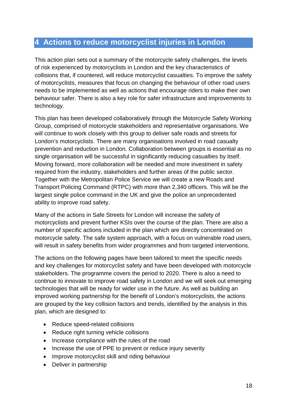### **4 Actions to reduce motorcyclist injuries in London**

This action plan sets out a summary of the motorcycle safety challenges, the levels of risk experienced by motorcyclists in London and the key characteristics of collisions that, if countered, will reduce motorcyclist casualties. To improve the safety of motorcyclists, measures that focus on changing the behaviour of other road users needs to be implemented as well as actions that encourage riders to make their own behaviour safer. There is also a key role for safer infrastructure and improvements to technology.

This plan has been developed collaboratively through the Motorcycle Safety Working Group, comprised of motorcycle stakeholders and representative organisations. We will continue to work closely with this group to deliver safe roads and streets for London's motorcyclists. There are many organisations involved in road casualty prevention and reduction in London. Collaboration between groups is essential as no single organisation will be successful in significantly reducing casualties by itself. Moving forward, more collaboration will be needed and more investment in safety required from the industry, stakeholders and further areas of the public sector. Together with the Metropolitan Police Service we will create a new Roads and Transport Policing Command (RTPC) with more than 2,340 officers. This will be the largest single police command in the UK and give the police an unprecedented ability to improve road safety.

Many of the actions in Safe Streets for London will increase the safety of motorcyclists and prevent further KSIs over the course of the plan. There are also a number of specific actions included in the plan which are directly concentrated on motorcycle safety. The safe system approach, with a focus on vulnerable road users, will result in safety benefits from wider programmes and from targeted interventions.

The actions on the following pages have been tailored to meet the specific needs and key challenges for motorcyclist safety and have been developed with motorcycle stakeholders. The programme covers the period to 2020. There is also a need to continue to innovate to improve road safety in London and we will seek out emerging technologies that will be ready for wider use in the future. As well as building an improved working partnership for the benefit of London's motorcyclists, the actions are grouped by the key collision factors and trends, identified by the analysis in this plan, which are designed to:

- Reduce speed-related collisions
- Reduce right turning vehicle collisions
- Increase compliance with the rules of the road
- Increase the use of PPE to prevent or reduce injury severity
- Improve motorcyclist skill and riding behaviour
- Deliver in partnership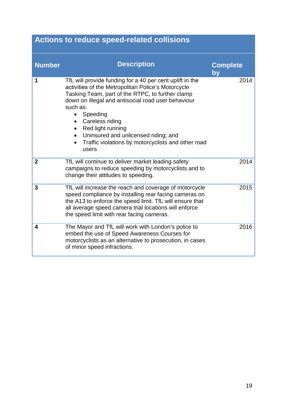| <b>Actions to reduce speed-related collisions</b> |                                                                                                                                                                                                                                                                                                                                                                                                              |                       |  |
|---------------------------------------------------|--------------------------------------------------------------------------------------------------------------------------------------------------------------------------------------------------------------------------------------------------------------------------------------------------------------------------------------------------------------------------------------------------------------|-----------------------|--|
| <b>Number</b>                                     | <b>Description</b>                                                                                                                                                                                                                                                                                                                                                                                           | <b>Complete</b><br>bv |  |
| 1                                                 | TfL will provide funding for a 40 per cent uplift in the<br>activities of the Metropolitan Police's Motorcycle<br>Tasking Team, part of the RTPC, to further clamp<br>down on illegal and antisocial road user behaviour<br>such as:<br>Speeding<br>$\bullet$<br>Careless riding<br>Red light running<br>Uninsured and unlicensed riding; and<br>Traffic violations by motorcyclists and other road<br>users | 2014                  |  |
| $\overline{2}$                                    | TfL will continue to deliver market leading safety<br>campaigns to reduce speeding by motorcyclists and to<br>change their attitudes to speeding.                                                                                                                                                                                                                                                            | 2014                  |  |
| 3                                                 | TfL will increase the reach and coverage of motorcycle<br>speed compliance by installing rear facing cameras on<br>the A13 to enforce the speed limit. TfL will ensure that<br>all average speed camera trial locations will enforce<br>the speed limit with rear facing cameras.                                                                                                                            | 2015                  |  |
| 4                                                 | The Mayor and TfL will work with London's police to<br>embed the use of Speed Awareness Courses for<br>motorcyclists as an alternative to prosecution, in cases<br>of minor speed infractions.                                                                                                                                                                                                               | 2016                  |  |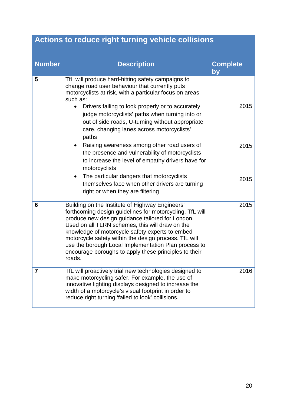# **Actions to reduce right turning vehicle collisions**

| <b>Number</b> | <b>Description</b>                                                                                                                                                                                                                                                                                                                                                                                                                                        | <b>Complete</b><br>by |
|---------------|-----------------------------------------------------------------------------------------------------------------------------------------------------------------------------------------------------------------------------------------------------------------------------------------------------------------------------------------------------------------------------------------------------------------------------------------------------------|-----------------------|
| 5             | TfL will produce hard-hitting safety campaigns to<br>change road user behaviour that currently puts<br>motorcyclists at risk, with a particular focus on areas<br>such as:<br>Drivers failing to look properly or to accurately<br>$\bullet$<br>judge motorcyclists' paths when turning into or<br>out of side roads, U-turning without appropriate<br>care, changing lanes across motorcyclists'<br>paths                                                | 2015                  |
|               | Raising awareness among other road users of<br>$\bullet$<br>the presence and vulnerability of motorcyclists<br>to increase the level of empathy drivers have for<br>motorcyclists<br>The particular dangers that motorcyclists<br>$\bullet$<br>themselves face when other drivers are turning                                                                                                                                                             | 2015<br>2015          |
|               | right or when they are filtering                                                                                                                                                                                                                                                                                                                                                                                                                          |                       |
| 6             | Building on the Institute of Highway Engineers'<br>forthcoming design guidelines for motorcycling, TfL will<br>produce new design guidance tailored for London.<br>Used on all TLRN schemes, this will draw on the<br>knowledge of motorcycle safety experts to embed<br>motorcycle safety within the design process. TfL will<br>use the borough Local Implementation Plan process to<br>encourage boroughs to apply these principles to their<br>roads. | 2015                  |
| 7             | TfL will proactively trial new technologies designed to<br>make motorcycling safer. For example, the use of<br>innovative lighting displays designed to increase the<br>width of a motorcycle's visual footprint in order to<br>reduce right turning 'failed to look' collisions.                                                                                                                                                                         | 2016                  |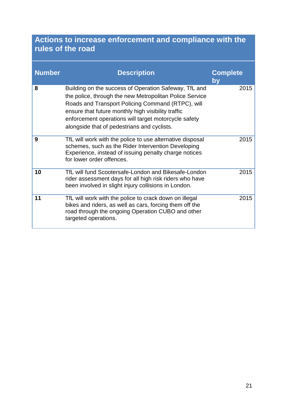# **Actions to increase enforcement and compliance with the rules of the road**

| <b>Number</b> | <b>Description</b>                                                                                                                                                                                                                                                                                                                 | <b>Complete</b><br>by |
|---------------|------------------------------------------------------------------------------------------------------------------------------------------------------------------------------------------------------------------------------------------------------------------------------------------------------------------------------------|-----------------------|
| 8             | Building on the success of Operation Safeway, TfL and<br>the police, through the new Metropolitan Police Service<br>Roads and Transport Policing Command (RTPC), will<br>ensure that future monthly high visibility traffic<br>enforcement operations will target motorcycle safety<br>alongside that of pedestrians and cyclists. | 2015                  |
| 9             | TfL will work with the police to use alternative disposal<br>schemes, such as the Rider Intervention Developing<br>Experience, instead of issuing penalty charge notices<br>for lower order offences.                                                                                                                              | 2015                  |
| 10            | TfL will fund Scootersafe-London and Bikesafe-London<br>rider assessment days for all high risk riders who have<br>been involved in slight injury collisions in London.                                                                                                                                                            | 2015                  |
| 11            | TfL will work with the police to crack down on illegal<br>bikes and riders, as well as cars, forcing them off the<br>road through the ongoing Operation CUBO and other<br>targeted operations.                                                                                                                                     | 2015                  |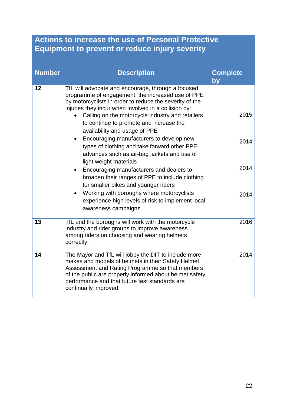# **Actions to increase the use of Personal Protective Equipment to prevent or reduce injury severity**

| <b>Number</b> | <b>Description</b>                                                                                                                                                                                                                                                                                                                                                                                                                                                                                                                                                                                                                                                                                                                                                                                                        | <b>Complete</b><br>by        |
|---------------|---------------------------------------------------------------------------------------------------------------------------------------------------------------------------------------------------------------------------------------------------------------------------------------------------------------------------------------------------------------------------------------------------------------------------------------------------------------------------------------------------------------------------------------------------------------------------------------------------------------------------------------------------------------------------------------------------------------------------------------------------------------------------------------------------------------------------|------------------------------|
| 12            | TfL will advocate and encourage, through a focused<br>programme of engagement, the increased use of PPE<br>by motorcyclists in order to reduce the severity of the<br>injuries they incur when involved in a collision by:<br>Calling on the motorcycle industry and retailers<br>to continue to promote and increase the<br>availability and usage of PPE<br>Encouraging manufacturers to develop new<br>$\bullet$<br>types of clothing and take forward other PPE<br>advances such as air-bag jackets and use of<br>light weight materials<br>Encouraging manufacturers and dealers to<br>$\bullet$<br>broaden their ranges of PPE to include clothing<br>for smaller bikes and younger riders<br>Working with boroughs where motorcyclists<br>experience high levels of risk to implement local<br>awareness campaigns | 2015<br>2014<br>2014<br>2014 |
| 13            | TfL and the boroughs will work with the motorcycle<br>industry and rider groups to improve awareness<br>among riders on choosing and wearing helmets<br>correctly.                                                                                                                                                                                                                                                                                                                                                                                                                                                                                                                                                                                                                                                        | 2016                         |
| 14            | The Mayor and TfL will lobby the DfT to include more<br>makes and models of helmets in their Safety Helmet<br>Assessment and Rating Programme so that members<br>of the public are properly informed about helmet safety<br>performance and that future test standards are<br>continually improved.                                                                                                                                                                                                                                                                                                                                                                                                                                                                                                                       | 2014                         |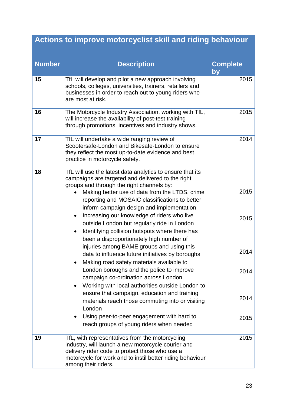# **Actions to improve motorcyclist skill and riding behaviour**

| <b>Number</b> | <b>Description</b>                                                                                                                                                                                                                          | <b>Complete</b> |
|---------------|---------------------------------------------------------------------------------------------------------------------------------------------------------------------------------------------------------------------------------------------|-----------------|
|               |                                                                                                                                                                                                                                             | by              |
| 15            | TfL will develop and pilot a new approach involving<br>schools, colleges, universities, trainers, retailers and<br>businesses in order to reach out to young riders who<br>are most at risk.                                                | 2015            |
| 16            | The Motorcycle Industry Association, working with TfL,<br>will increase the availability of post-test training<br>through promotions, incentives and industry shows.                                                                        | 2015            |
| 17            | TfL will undertake a wide ranging review of<br>Scootersafe-London and Bikesafe-London to ensure<br>they reflect the most up-to-date evidence and best<br>practice in motorcycle safety.                                                     | 2014            |
| 18            | TfL will use the latest data analytics to ensure that its<br>campaigns are targeted and delivered to the right<br>groups and through the right channels by:                                                                                 |                 |
|               | Making better use of data from the LTDS, crime<br>reporting and MOSAIC classifications to better<br>inform campaign design and implementation<br>Increasing our knowledge of riders who live<br>$\bullet$                                   | 2015            |
|               | outside London but regularly ride in London<br>Identifying collision hotspots where there has<br>$\bullet$<br>been a disproportionately high number of                                                                                      | 2015            |
|               | injuries among BAME groups and using this<br>data to influence future initiatives by boroughs<br>Making road safety materials available to                                                                                                  | 2014            |
|               | London boroughs and the police to improve<br>campaign co-ordination across London<br>Working with local authorities outside London to<br>$\bullet$                                                                                          | 2014            |
|               | ensure that campaign, education and training<br>materials reach those commuting into or visiting<br>London                                                                                                                                  | 2014            |
|               | Using peer-to-peer engagement with hard to<br>$\bullet$<br>reach groups of young riders when needed                                                                                                                                         | 2015            |
| 19            | TfL, with representatives from the motorcycling<br>industry, will launch a new motorcycle courier and<br>delivery rider code to protect those who use a<br>motorcycle for work and to instil better riding behaviour<br>among their riders. | 2015            |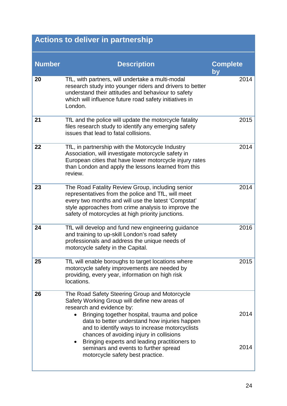# **Actions to deliver in partnership**

| <b>Description</b>                                                                                                                                                                                                                                                                                                                                                                                                                                        | <b>Complete</b><br>by |
|-----------------------------------------------------------------------------------------------------------------------------------------------------------------------------------------------------------------------------------------------------------------------------------------------------------------------------------------------------------------------------------------------------------------------------------------------------------|-----------------------|
| TfL, with partners, will undertake a multi-modal<br>research study into younger riders and drivers to better<br>understand their attitudes and behaviour to safety<br>which will influence future road safety initiatives in<br>London.                                                                                                                                                                                                                   | 2014                  |
| TfL and the police will update the motorcycle fatality<br>files research study to identify any emerging safety<br>issues that lead to fatal collisions.                                                                                                                                                                                                                                                                                                   | 2015                  |
| TfL, in partnership with the Motorcycle Industry<br>Association, will investigate motorcycle safety in<br>European cities that have lower motorcycle injury rates<br>than London and apply the lessons learned from this<br>review.                                                                                                                                                                                                                       | 2014                  |
| The Road Fatality Review Group, including senior<br>representatives from the police and TfL, will meet<br>every two months and will use the latest 'Compstat'<br>style approaches from crime analysis to improve the<br>safety of motorcycles at high priority junctions.                                                                                                                                                                                 | 2014                  |
| TfL will develop and fund new engineering guidance<br>and training to up-skill London's road safety<br>professionals and address the unique needs of<br>motorcycle safety in the Capital.                                                                                                                                                                                                                                                                 | 2016                  |
| TfL will enable boroughs to target locations where<br>motorcycle safety improvements are needed by<br>providing, every year, information on high risk<br>locations.                                                                                                                                                                                                                                                                                       | 2015                  |
| The Road Safety Steering Group and Motorcycle<br>Safety Working Group will define new areas of<br>research and evidence by:<br>Bringing together hospital, trauma and police<br>data to better understand how injuries happen<br>and to identify ways to increase motorcyclists<br>chances of avoiding injury in collisions<br>Bringing experts and leading practitioners to<br>seminars and events to further spread<br>motorcycle safety best practice. | 2014<br>2014          |
|                                                                                                                                                                                                                                                                                                                                                                                                                                                           |                       |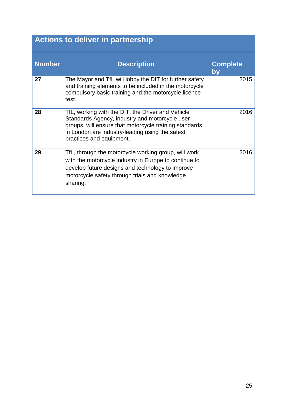# **Actions to deliver in partnership**

| <b>Number</b> | <b>Description</b>                                                                                                                                                                                                                           | <b>Complete</b><br><u>lby</u> |
|---------------|----------------------------------------------------------------------------------------------------------------------------------------------------------------------------------------------------------------------------------------------|-------------------------------|
| 27            | The Mayor and TfL will lobby the DfT for further safety<br>and training elements to be included in the motorcycle<br>compulsory basic training and the motorcycle licence<br>test.                                                           | 2015                          |
| 28            | TfL, working with the DfT, the Driver and Vehicle<br>Standards Agency, industry and motorcycle user<br>groups, will ensure that motorcycle training standards<br>in London are industry-leading using the safest<br>practices and equipment. | 2016                          |
| 29            | TfL, through the motorcycle working group, will work<br>with the motorcycle industry in Europe to continue to<br>develop future designs and technology to improve<br>motorcycle safety through trials and knowledge<br>sharing.              | 2016                          |